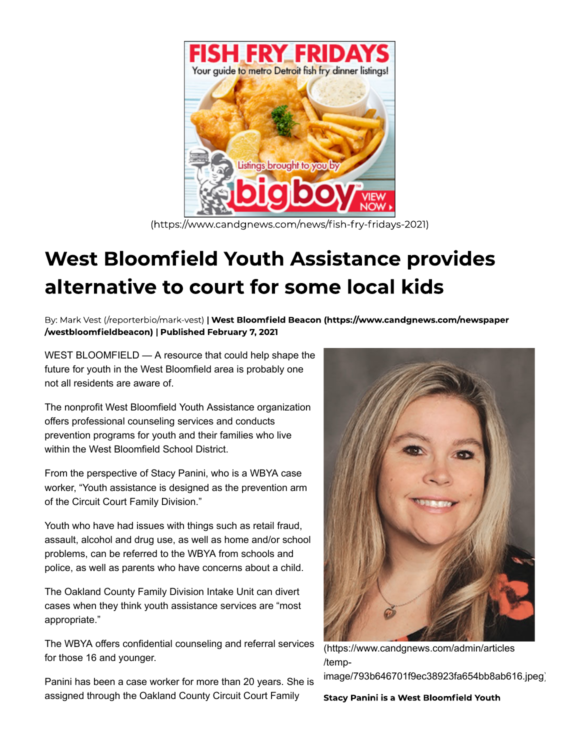

(https://www.candgnews.com/news/fish-fry-fridays-2021)

## **West Bloomfield Youth Assistance provides** alternative to court for some local kids

By: Mark Vest (/reporterbio/mark-vest) | West Bloomfield Beacon (https://www.candgnews.com/newspaper /westbloomfieldbeacon) | Published February 7, 2021

WEST BLOOMFIELD — A resource that could help shape the future for youth in the West Bloomfield area is probably one not all residents are aware of.

The nonprofit West Bloomfield Youth Assistance organization offers professional counseling services and conducts prevention programs for youth and their families who live within the West Bloomfield School District.

From the perspective of Stacy Panini, who is a WBYA case worker, "Youth assistance is designed as the prevention arm of the Circuit Court Family Division."

Youth who have had issues with things such as retail fraud, assault, alcohol and drug use, as well as home and/or school problems, can be referred to the WBYA from schools and police, as well as parents who have concerns about a child.

The Oakland County Family Division Intake Unit can divert cases when they think youth assistance services are "most appropriate."

The WBYA offers confidential counseling and referral services for those 16 and younger.

Panini has been a case worker for more than 20 years. She is assigned through the Oakland County Circuit Court Family



(https://www.candgnews.com/admin/articles /temp-

image/793b646701f9ec38923fa654bb8ab616.jpeg)

**Stacy Panini is a West Bloomfield Youth**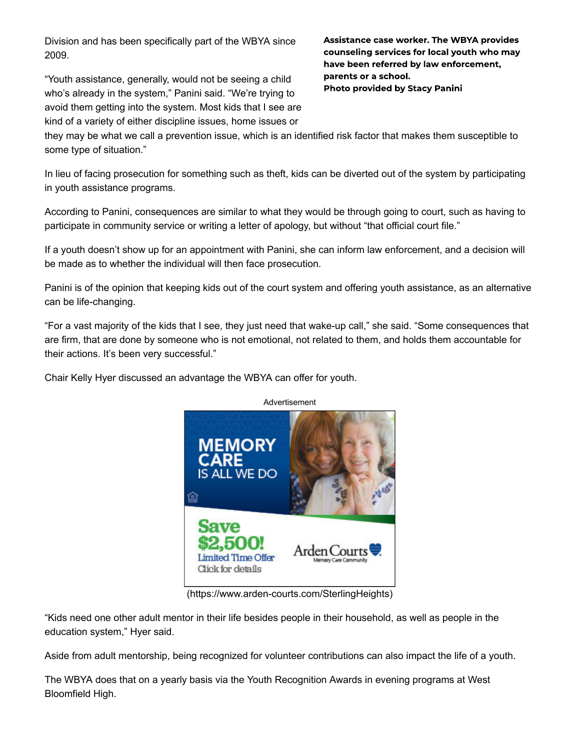Division and has been specifically part of the WBYA since 2009.

"Youth assistance, generally, would not be seeing a child who's already in the system," Panini said. "We're trying to avoid them getting into the system. Most kids that I see are kind of a variety of either discipline issues, home issues or

**Assistance case worker. The WBYA provides** counseling services for local youth who may have been referred by law enforcement, parents or a school. **Photo provided by Stacy Panini** 

they may be what we call a prevention issue, which is an identified risk factor that makes them susceptible to some type of situation."

In lieu of facing prosecution for something such as theft, kids can be diverted out of the system by participating in youth assistance programs.

According to Panini, consequences are similar to what they would be through going to court, such as having to participate in community service or writing a letter of apology, but without "that official court file."

If a youth doesn't show up for an appointment with Panini, she can inform law enforcement, and a decision will be made as to whether the individual will then face prosecution.

Panini is of the opinion that keeping kids out of the court system and offering youth assistance, as an alternative can be life-changing.

"For a vast majority of the kids that I see, they just need that wake-up call," she said. "Some consequences that are firm, that are done by someone who is not emotional, not related to them, and holds them accountable for their actions. It's been very successful."

Chair Kelly Hyer discussed an advantage the WBYA can offer for youth.



(https://www.arden-courts.com/SterlingHeights)

"Kids need one other adult mentor in their life besides people in their household, as well as people in the education system," Hyer said.

Aside from adult mentorship, being recognized for volunteer contributions can also impact the life of a youth.

The WBYA does that on a yearly basis via the Youth Recognition Awards in evening programs at West Bloomfield High.